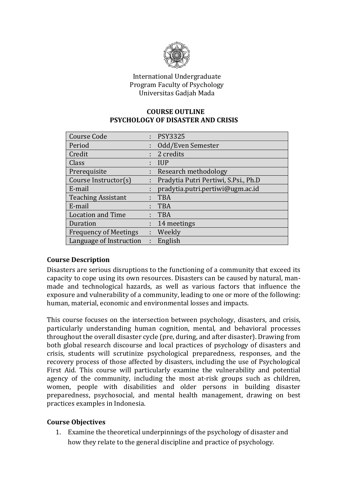

# International Undergraduate Program Faculty of Psychology Universitas Gadjah Mada

# **COURSE OUTLINE PSYCHOLOGY OF DISASTER AND CRISIS**

| <b>Course Code</b>           |   | : PSY3325                              |
|------------------------------|---|----------------------------------------|
| Period                       |   | Odd/Even Semester                      |
| Credit                       |   | : 2 credits                            |
| Class                        |   | <b>IUP</b>                             |
| Prerequisite                 |   | Research methodology                   |
| Course Instructor(s)         |   | : Pradytia Putri Pertiwi, S.Psi., Ph.D |
| E-mail                       |   | pradytia.putri.pertiwi@ugm.ac.id       |
| <b>Teaching Assistant</b>    |   | <b>TBA</b>                             |
| E-mail                       |   | <b>TBA</b>                             |
| <b>Location and Time</b>     |   | <b>TBA</b>                             |
| Duration                     |   | 14 meetings                            |
| <b>Frequency of Meetings</b> |   | : Weekly                               |
| Language of Instruction      | ÷ | English                                |

# **Course Description**

Disasters are serious disruptions to the functioning of a community that exceed its capacity to cope using its own resources. Disasters can be caused by natural, manmade and technological hazards, as well as various factors that influence the exposure and vulnerability of a community, leading to one or more of the following: human, material, economic and environmental losses and impacts.

This course focuses on the intersection between psychology, disasters, and crisis, particularly understanding human cognition, mental, and behavioral processes throughout the overall disaster cycle (pre, during, and after disaster). Drawing from both global research discourse and local practices of psychology of disasters and crisis, students will scrutinize psychological preparedness, responses, and the recovery process of those affected by disasters, including the use of Psychological First Aid. This course will particularly examine the vulnerability and potential agency of the community, including the most at-risk groups such as children, women, people with disabilities and older persons in building disaster preparedness, psychosocial, and mental health management, drawing on best practices examples in Indonesia.

# **Course Objectives**

1. Examine the theoretical underpinnings of the psychology of disaster and how they relate to the general discipline and practice of psychology.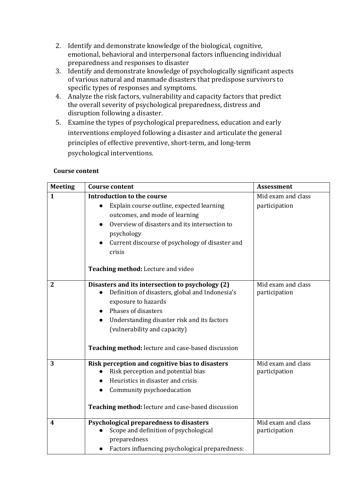- 2. Identify and demonstrate knowledge of the biological, cognitive, emotional, behavioral and interpersonal factors influencing individual preparedness and responses to disaster
- 3. Identify and demonstrate knowledge of psychologically significant aspects of various natural and manmade disasters that predispose survivors to specific types of responses and symptoms.
- 4. Analyze the risk factors, vulnerability and capacity factors that predict the overall severity of psychological preparedness, distress and disruption following a disaster.
- 5. Examine the types of psychological preparedness, education and early interventions employed following a disaster and articulate the general principles of effective preventive, short-term, and long-term psychological interventions.

#### **Course content**

| <b>Meeting</b>   | <b>Course content</b>                                                                                            | <b>Assessment</b>                   |
|------------------|------------------------------------------------------------------------------------------------------------------|-------------------------------------|
| $\mathbf{1}$     | <b>Introduction to the course</b>                                                                                | Mid exam and class                  |
|                  | Explain course outline, expected learning<br>$\bullet$                                                           | participation                       |
|                  | outcomes, and mode of learning                                                                                   |                                     |
|                  | Overview of disasters and its intersection to                                                                    |                                     |
|                  | psychology                                                                                                       |                                     |
|                  | Current discourse of psychology of disaster and                                                                  |                                     |
|                  | crisis                                                                                                           |                                     |
|                  | Teaching method: Lecture and video                                                                               |                                     |
| $\overline{2}$   | Disasters and its intersection to psychology (2)<br>Definition of disasters, global and Indonesia's<br>$\bullet$ | Mid exam and class<br>participation |
|                  | exposure to hazards                                                                                              |                                     |
|                  | Phases of disasters<br>$\bullet$                                                                                 |                                     |
|                  | Understanding disaster risk and its factors                                                                      |                                     |
|                  | (vulnerability and capacity)                                                                                     |                                     |
|                  |                                                                                                                  |                                     |
|                  | Teaching method: lecture and case-based discussion                                                               |                                     |
| 3                | Risk perception and cognitive bias to disasters                                                                  | Mid exam and class                  |
|                  | Risk perception and potential bias                                                                               | participation                       |
|                  | Heuristics in disaster and crisis                                                                                |                                     |
|                  | Community psychoeducation                                                                                        |                                     |
|                  | Teaching method: lecture and case-based discussion                                                               |                                     |
| $\boldsymbol{4}$ | Psychological preparedness to disasters                                                                          | Mid exam and class                  |
|                  | Scope and definition of psychological<br>preparedness                                                            | participation                       |
|                  | Factors influencing psychological preparedness:                                                                  |                                     |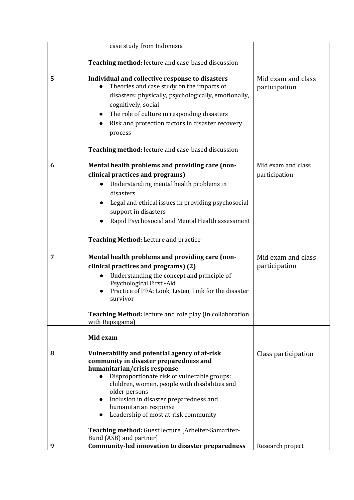|   | case study from Indonesia                                                                                                                                                                                                                                                                                                                                                                                                                          |                                     |
|---|----------------------------------------------------------------------------------------------------------------------------------------------------------------------------------------------------------------------------------------------------------------------------------------------------------------------------------------------------------------------------------------------------------------------------------------------------|-------------------------------------|
|   | Teaching method: lecture and case-based discussion                                                                                                                                                                                                                                                                                                                                                                                                 |                                     |
| 5 | Individual and collective response to disasters<br>Theories and case study on the impacts of<br>disasters: physically, psychologically, emotionally,<br>cognitively, social<br>The role of culture in responding disasters<br>Risk and protection factors in disaster recovery<br>process<br>Teaching method: lecture and case-based discussion                                                                                                    | Mid exam and class<br>participation |
| 6 | Mental health problems and providing care (non-                                                                                                                                                                                                                                                                                                                                                                                                    | Mid exam and class                  |
|   | clinical practices and programs)<br>Understanding mental health problems in<br>disasters<br>Legal and ethical issues in providing psychosocial<br>support in disasters<br>Rapid Psychosocial and Mental Health assessment                                                                                                                                                                                                                          | participation                       |
|   | Teaching Method: Lecture and practice                                                                                                                                                                                                                                                                                                                                                                                                              |                                     |
| 7 | Mental health problems and providing care (non-                                                                                                                                                                                                                                                                                                                                                                                                    | Mid exam and class                  |
|   | clinical practices and programs) (2)<br>Understanding the concept and principle of<br>$\bullet$<br>Psychological First-Aid<br>Practice of PFA: Look, Listen, Link for the disaster<br>survivor<br>Teaching Method: lecture and role play (in collaboration                                                                                                                                                                                         | participation                       |
|   | with Repsigama)                                                                                                                                                                                                                                                                                                                                                                                                                                    |                                     |
|   | Mid exam                                                                                                                                                                                                                                                                                                                                                                                                                                           |                                     |
| 8 | Vulnerability and potential agency of at-risk<br>community in disaster preparedness and<br>humanitarian/crisis response<br>Disproportionate risk of vulnerable groups:<br>$\bullet$<br>children, women, people with disabilities and<br>older persons<br>Inclusion in disaster preparedness and<br>humanitarian response<br>Leadership of most at-risk community<br>Teaching method: Guest lecture [Arbeiter-Samariter-<br>Bund (ASB) and partner] | Class participation                 |
| 9 | <b>Community-led innovation to disaster preparedness</b>                                                                                                                                                                                                                                                                                                                                                                                           | Research project                    |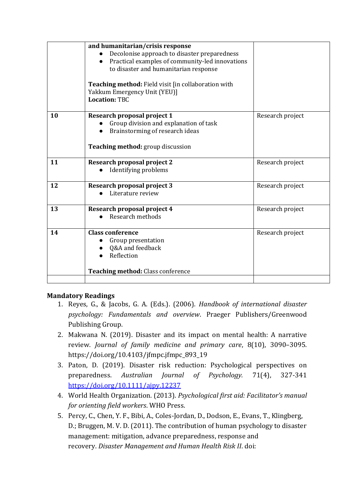|    | and humanitarian/crisis response<br>Decolonise approach to disaster preparedness<br>$\bullet$<br>Practical examples of community-led innovations<br>$\bullet$<br>to disaster and humanitarian response<br>Teaching method: Field visit [in collaboration with<br>Yakkum Emergency Unit (YEU)]<br><b>Location: TBC</b> |                  |
|----|-----------------------------------------------------------------------------------------------------------------------------------------------------------------------------------------------------------------------------------------------------------------------------------------------------------------------|------------------|
| 10 | Research proposal project 1<br>Group division and explanation of task<br>Brainstorming of research ideas<br><b>Teaching method:</b> group discussion                                                                                                                                                                  | Research project |
| 11 | Research proposal project 2<br>Identifying problems                                                                                                                                                                                                                                                                   | Research project |
| 12 | <b>Research proposal project 3</b><br>Literature review                                                                                                                                                                                                                                                               | Research project |
| 13 | Research proposal project 4<br>Research methods                                                                                                                                                                                                                                                                       | Research project |
| 14 | <b>Class conference</b><br>Group presentation<br>Q&A and feedback<br>Reflection<br><b>Teaching method: Class conference</b>                                                                                                                                                                                           | Research project |
|    |                                                                                                                                                                                                                                                                                                                       |                  |

# **Mandatory Readings**

- 1. Reyes, G., & Jacobs, G. A. (Eds.). (2006). *Handbook of international disaster psychology: Fundamentals and overview*. Praeger Publishers/Greenwood Publishing Group.
- 2. Makwana N. (2019). Disaster and its impact on mental health: A narrative review. *Journal of family medicine and primary care*, 8(10), 3090–3095. https://doi.org/10.4103/jfmpc.jfmpc\_893\_19
- 3. Paton, D. (2019). Disaster risk reduction: Psychological perspectives on preparedness. *Australian Journal of Psychology.* 71(4), 327-341 <https://doi.org/10.1111/ajpy.12237>
- 4. World Health Organization. (2013). *Psychological first aid: Facilitator's manual for orienting field workers*. WHO Press.
- 5. Percy, C., Chen, Y. F., Bibi, A., Coles-Jordan, D., Dodson, E., Evans, T., Klingberg, D.; Bruggen, M. V. D. (2011). The contribution of human psychology to disaster management: mitigation, advance preparedness, response and recovery. *Disaster Management and Human Health Risk II*. doi: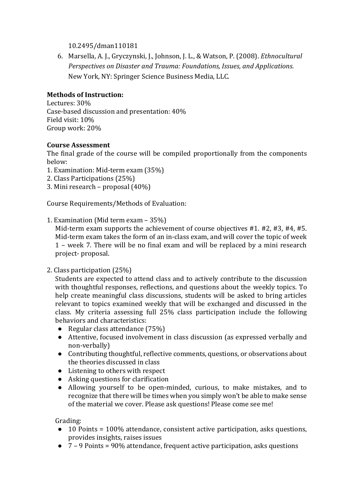10.2495/dman110181

6. Marsella, A. J., Gryczynski, J., Johnson, J. L., & Watson, P. (2008). *Ethnocultural Perspectives on Disaster and Trauma: Foundations, Issues, and Applications*. New York, NY: Springer Science Business Media, LLC.

# **Methods of Instruction:**

Lectures: 30% Case-based discussion and presentation: 40% Field visit: 10% Group work: 20%

# **Course Assessment**

The final grade of the course will be compiled proportionally from the components below:

- 1. Examination: Mid-term exam (35%)
- 2. Class Participations (25%)
- 3. Mini research proposal (40%)

Course Requirements/Methods of Evaluation:

#### 1. Examination (Mid term exam – 35%)

Mid-term exam supports the achievement of course objectives #1. #2, #3, #4, #5. Mid-term exam takes the form of an in-class exam, and will cover the topic of week 1 – week 7. There will be no final exam and will be replaced by a mini research project- proposal.

2. Class participation (25%)

Students are expected to attend class and to actively contribute to the discussion with thoughtful responses, reflections, and questions about the weekly topics. To help create meaningful class discussions, students will be asked to bring articles relevant to topics examined weekly that will be exchanged and discussed in the class. My criteria assessing full 25% class participation include the following behaviors and characteristics:

- Regular class attendance (75%)
- Attentive, focused involvement in class discussion (as expressed verbally and non-verbally)
- Contributing thoughtful, reflective comments, questions, or observations about the theories discussed in class
- Listening to others with respect
- Asking questions for clarification
- Allowing yourself to be open-minded, curious, to make mistakes, and to recognize that there will be times when you simply won't be able to make sense of the material we cover. Please ask questions! Please come see me!

Grading:

- 10 Points = 100% attendance, consistent active participation, asks questions, provides insights, raises issues
- 7 9 Points = 90% attendance, frequent active participation, asks questions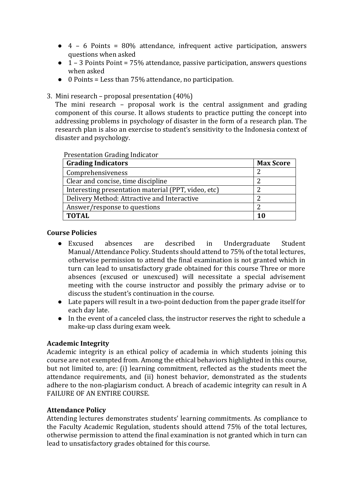- $\bullet$  4 6 Points = 80% attendance, infrequent active participation, answers questions when asked
- $\bullet$  1 3 Points Point = 75% attendance, passive participation, answers questions when asked
- 0 Points = Less than 75% attendance, no participation.
- 3. Mini research proposal presentation (40%)

The mini research – proposal work is the central assignment and grading component of this course. It allows students to practice putting the concept into addressing problems in psychology of disaster in the form of a research plan. The research plan is also an exercise to student's sensitivity to the Indonesia context of disaster and psychology.

#### Presentation Grading Indicator

| <b>Grading Indicators</b>                           | <b>Max Score</b> |
|-----------------------------------------------------|------------------|
| Comprehensiveness                                   | າ                |
| Clear and concise, time discipline                  |                  |
| Interesting presentation material (PPT, video, etc) |                  |
| Delivery Method: Attractive and Interactive         | ำ                |
| Answer/response to questions                        | ำ                |
| <b>TOTAL</b>                                        | 10               |

# **Course Policies**

- Excused absences are described in Undergraduate Student Manual/Attendance Policy. Students should attend to 75% of the total lectures, otherwise permission to attend the final examination is not granted which in turn can lead to unsatisfactory grade obtained for this course Three or more absences (excused or unexcused) will necessitate a special advisement meeting with the course instructor and possibly the primary advise or to discuss the student's continuation in the course.
- Late papers will result in a two-point deduction from the paper grade itself for each day late.
- In the event of a canceled class, the instructor reserves the right to schedule a make-up class during exam week.

# **Academic Integrity**

Academic integrity is an ethical policy of academia in which students joining this course are not exempted from. Among the ethical behaviors highlighted in this course, but not limited to, are: (i) learning commitment, reflected as the students meet the attendance requirements, and (ii) honest behavior, demonstrated as the students adhere to the non-plagiarism conduct. A breach of academic integrity can result in A FAILURE OF AN ENTIRE COURSE.

# **Attendance Policy**

Attending lectures demonstrates students' learning commitments. As compliance to the Faculty Academic Regulation, students should attend 75% of the total lectures, otherwise permission to attend the final examination is not granted which in turn can lead to unsatisfactory grades obtained for this course.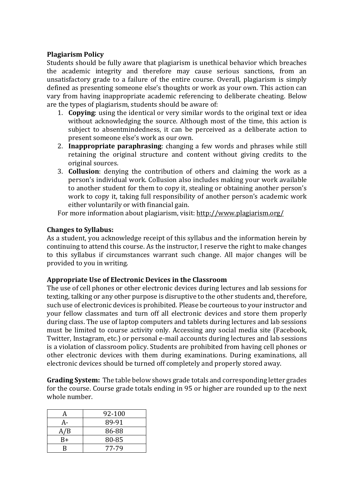# **Plagiarism Policy**

Students should be fully aware that plagiarism is unethical behavior which breaches the academic integrity and therefore may cause serious sanctions, from an unsatisfactory grade to a failure of the entire course. Overall, plagiarism is simply defined as presenting someone else's thoughts or work as your own. This action can vary from having inappropriate academic referencing to deliberate cheating. Below are the types of plagiarism, students should be aware of:

- 1. **Copying**: using the identical or very similar words to the original text or idea without acknowledging the source. Although most of the time, this action is subject to absentmindedness, it can be perceived as a deliberate action to present someone else's work as our own.
- 2. **Inappropriate paraphrasing**: changing a few words and phrases while still retaining the original structure and content without giving credits to the original sources.
- 3. **Collusion**: denying the contribution of others and claiming the work as a person's individual work. Collusion also includes making your work available to another student for them to copy it, stealing or obtaining another person's work to copy it, taking full responsibility of another person's academic work either voluntarily or with financial gain.

For more information about plagiarism, visit:<http://www.plagiarism.org/>

# **Changes to Syllabus:**

As a student, you acknowledge receipt of this syllabus and the information herein by continuing to attend this course. As the instructor, I reserve the right to make changes to this syllabus if circumstances warrant such change. All major changes will be provided to you in writing.

# **Appropriate Use of Electronic Devices in the Classroom**

The use of cell phones or other electronic devices during lectures and lab sessions for texting, talking or any other purpose is disruptive to the other students and, therefore, such use of electronic devices is prohibited. Please be courteous to your instructor and your fellow classmates and turn off all electronic devices and store them properly during class. The use of laptop computers and tablets during lectures and lab sessions must be limited to course activity only. Accessing any social media site (Facebook, Twitter, Instagram, etc.) or personal e-mail accounts during lectures and lab sessions is a violation of classroom policy. Students are prohibited from having cell phones or other electronic devices with them during examinations. During examinations, all electronic devices should be turned off completely and properly stored away.

**Grading System:** The table below shows grade totals and corresponding letter grades for the course. Course grade totals ending in 95 or higher are rounded up to the next whole number.

|     | 92-100 |
|-----|--------|
|     | 89-91  |
| A/B | 86-88  |
| B+  | 80-85  |
| R   | 77-79  |